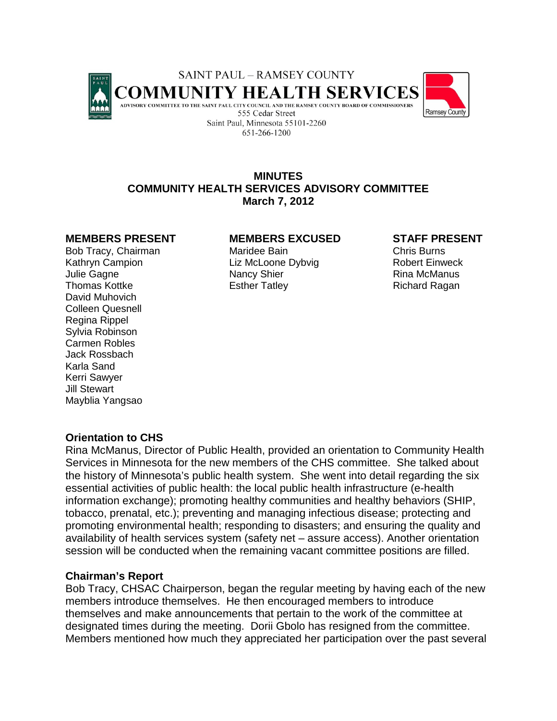



# **MINUTES COMMUNITY HEALTH SERVICES ADVISORY COMMITTEE March 7, 2012**

David Muhovich Colleen Quesnell Regina Rippel Sylvia Robinson Carmen Robles Jack Rossbach Karla Sand Kerri Sawyer Jill Stewart Mayblia Yangsao

## **MEMBERS PRESENT MEMBERS EXCUSED STAFF PRESENT**

Bob Tracy, Chairman **Maridee Bain** Chris Burns Kathryn Campion **Liz McLoone Dybvig** Robert Einweck Julie Gagne Nancy Shier Rina McManus Rina McManus Thomas Kottke **Esther Tatley** Esther Tatley **Richard Ragan** 

# **Orientation to CHS**

Rina McManus, Director of Public Health, provided an orientation to Community Health Services in Minnesota for the new members of the CHS committee. She talked about the history of Minnesota's public health system. She went into detail regarding the six essential activities of public health: the local public health infrastructure (e-health information exchange); promoting healthy communities and healthy behaviors (SHIP, tobacco, prenatal, etc.); preventing and managing infectious disease; protecting and promoting environmental health; responding to disasters; and ensuring the quality and availability of health services system (safety net – assure access). Another orientation session will be conducted when the remaining vacant committee positions are filled.

## **Chairman's Report**

Bob Tracy, CHSAC Chairperson, began the regular meeting by having each of the new members introduce themselves. He then encouraged members to introduce themselves and make announcements that pertain to the work of the committee at designated times during the meeting. Dorii Gbolo has resigned from the committee. Members mentioned how much they appreciated her participation over the past several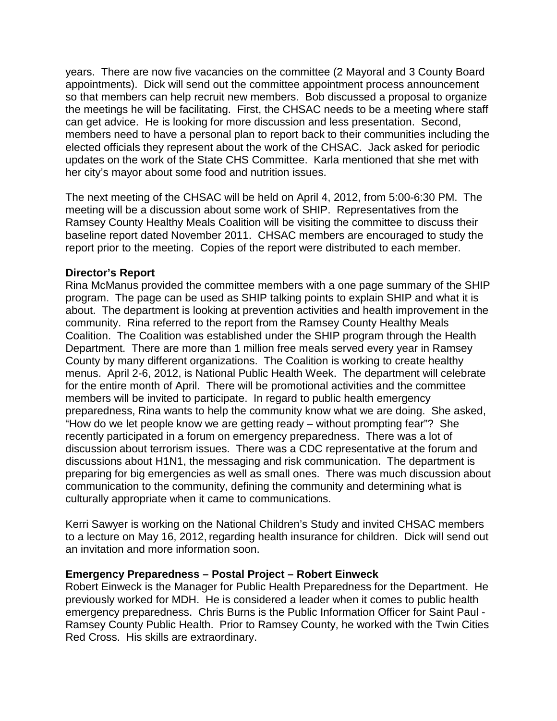years. There are now five vacancies on the committee (2 Mayoral and 3 County Board appointments). Dick will send out the committee appointment process announcement so that members can help recruit new members. Bob discussed a proposal to organize the meetings he will be facilitating. First, the CHSAC needs to be a meeting where staff can get advice. He is looking for more discussion and less presentation. Second, members need to have a personal plan to report back to their communities including the elected officials they represent about the work of the CHSAC. Jack asked for periodic updates on the work of the State CHS Committee. Karla mentioned that she met with her city's mayor about some food and nutrition issues.

The next meeting of the CHSAC will be held on April 4, 2012, from 5:00-6:30 PM. The meeting will be a discussion about some work of SHIP. Representatives from the Ramsey County Healthy Meals Coalition will be visiting the committee to discuss their baseline report dated November 2011. CHSAC members are encouraged to study the report prior to the meeting. Copies of the report were distributed to each member.

## **Director's Report**

Rina McManus provided the committee members with a one page summary of the SHIP program. The page can be used as SHIP talking points to explain SHIP and what it is about. The department is looking at prevention activities and health improvement in the community. Rina referred to the report from the Ramsey County Healthy Meals Coalition. The Coalition was established under the SHIP program through the Health Department. There are more than 1 million free meals served every year in Ramsey County by many different organizations. The Coalition is working to create healthy menus. April 2-6, 2012, is National Public Health Week. The department will celebrate for the entire month of April. There will be promotional activities and the committee members will be invited to participate. In regard to public health emergency preparedness, Rina wants to help the community know what we are doing. She asked, "How do we let people know we are getting ready – without prompting fear"? She recently participated in a forum on emergency preparedness. There was a lot of discussion about terrorism issues. There was a CDC representative at the forum and discussions about H1N1, the messaging and risk communication. The department is preparing for big emergencies as well as small ones. There was much discussion about communication to the community, defining the community and determining what is culturally appropriate when it came to communications.

Kerri Sawyer is working on the National Children's Study and invited CHSAC members to a lecture on May 16, 2012, regarding health insurance for children. Dick will send out an invitation and more information soon.

## **Emergency Preparedness – Postal Project – Robert Einweck**

Robert Einweck is the Manager for Public Health Preparedness for the Department. He previously worked for MDH. He is considered a leader when it comes to public health emergency preparedness. Chris Burns is the Public Information Officer for Saint Paul - Ramsey County Public Health. Prior to Ramsey County, he worked with the Twin Cities Red Cross. His skills are extraordinary.